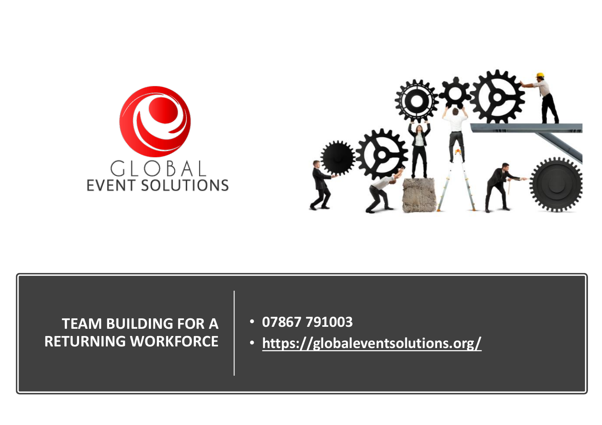



#### **TEAM BUILDING FOR A RETURNING WORKFORCE**

- **07867 791003**
- **<https://globaleventsolutions.org/>**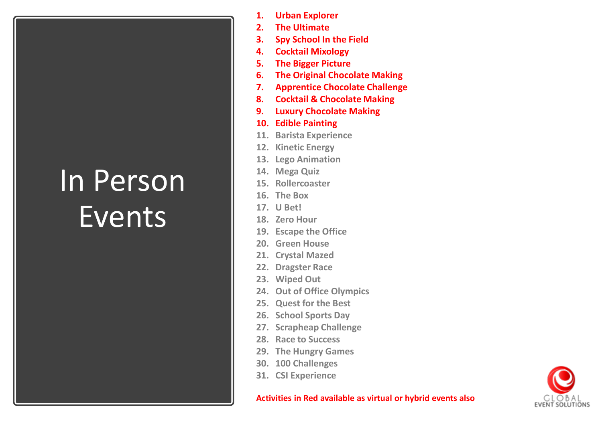#### In Person Events

- **1. Urban Explorer**
- **2. The Ultimate**
- **3. Spy School In the Field**
- **4. Cocktail Mixology**
- **5. The Bigger Picture**
- **6. The Original Chocolate Making**
- **7. Apprentice Chocolate Challenge**
- **8. Cocktail & Chocolate Making**
- **9. Luxury Chocolate Making**
- **10. Edible Painting**
- **11. Barista Experience**
- **12. Kinetic Energy**
- **13. Lego Animation**
- **14. Mega Quiz**
- **15. Rollercoaster**
- **16. The Box**
- **17. U Bet!**
- **18. Zero Hour**
- **19. Escape the Office**
- **20. Green House**
- **21. Crystal Mazed**
- **22. Dragster Race**
- **23. Wiped Out**
- **24. Out of Office Olympics**
- **25. Quest for the Best**
- **26. School Sports Day**
- **27. Scrapheap Challenge**
- **28. Race to Success**
- **29. The Hungry Games**
- **30. 100 Challenges**
- **31. CSI Experience**



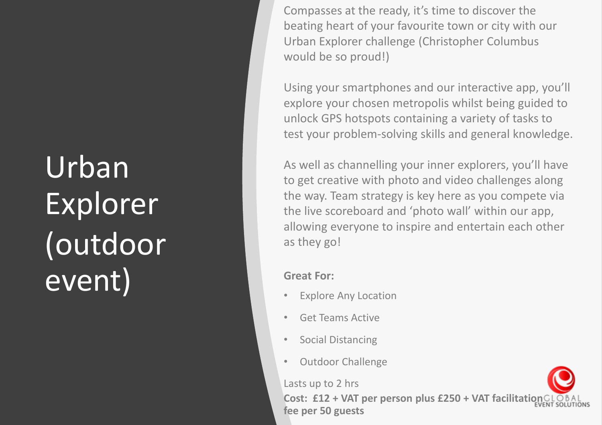# Urban Explorer (outdoor event) Great For:

Compasses at the ready, it's time to discover the beating heart of your favourite town or city with our Urban Explorer challenge (Christopher Columbus would be so proud!)

Using your smartphones and our interactive app, you'll explore your chosen metropolis whilst being guided to unlock GPS hotspots containing a variety of tasks to test your problem-solving skills and general knowledge.

As well as channelling your inner explorers, you'll have to get creative with photo and video challenges along the way. Team strategy is key here as you compete via the live scoreboard and 'photo wall' within our app, allowing everyone to inspire and entertain each other as they go!

- **Explore Any Location**
- Get Teams Active
- Social Distancing
- Outdoor Challenge

Lasts up to 2 hrs

**Cost: £12 + VAT per person plus £250 + VAT facilitation fee per 50 guests**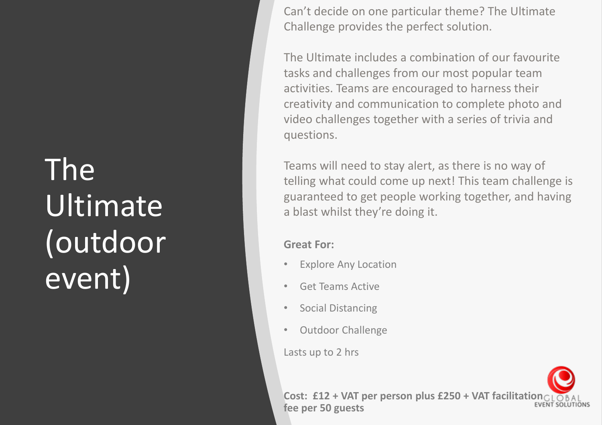### The Ultimate (outdoor event)

Can't decide on one particular theme? The Ultimate Challenge provides the perfect solution.

The Ultimate includes a combination of our favourite tasks and challenges from our most popular team activities. Teams are encouraged to harness their creativity and communication to complete photo and video challenges together with a series of trivia and questions.

Teams will need to stay alert, as there is no way of telling what could come up next! This team challenge is guaranteed to get people working together, and having a blast whilst they're doing it.

#### **Great For:**

- Explore Any Location
- Get Teams Active
- Social Distancing
- Outdoor Challenge

Lasts up to 2 hrs

**Cost: £12 + VAT per person plus £250 + VAT facilitation CLOBAL fee per 50 guests**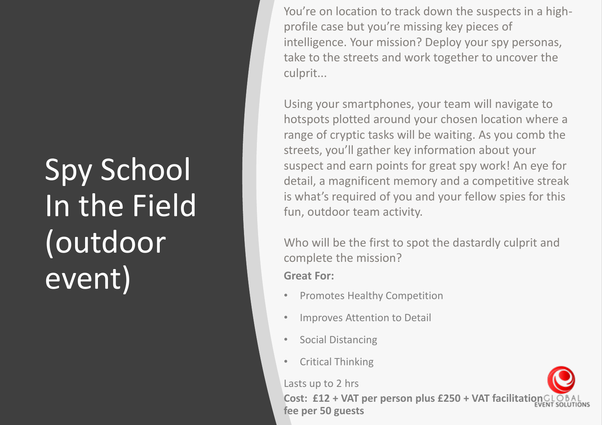### Spy School In the Field (outdoor event) Great For:

You're on location to track down the suspects in a highprofile case but you're missing key pieces of intelligence. Your mission? Deploy your spy personas, take to the streets and work together to uncover the culprit...

Using your smartphones, your team will navigate to hotspots plotted around your chosen location where a range of cryptic tasks will be waiting. As you comb the streets, you'll gather key information about your suspect and earn points for great spy work! An eye for detail, a magnificent memory and a competitive streak is what's required of you and your fellow spies for this fun, outdoor team activity.

Who will be the first to spot the dastardly culprit and complete the mission?

- Promotes Healthy Competition
- Improves Attention to Detail
- Social Distancing
- Critical Thinking

Lasts up to 2 hrs

**Cost: £12 + VAT per person plus £250 + VAT facilitation fee per 50 guests**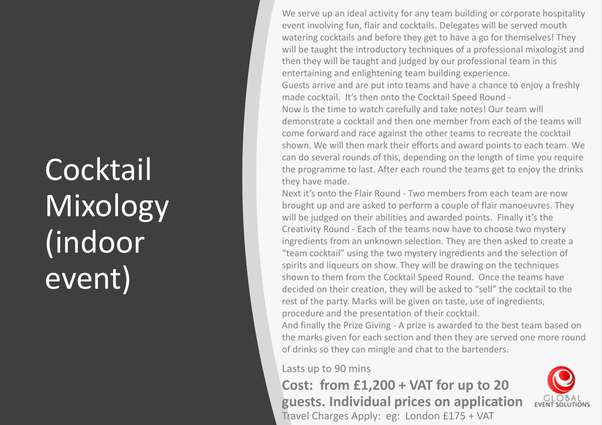### **Cocktail** Mixology (indoor event)

We serve up an ideal activity for any team building or corporate hospitality event involving fun, flair and cocktails. Delegates will be served mouth watering cocktails and before they get to have a go for themselves! They will be taught the introductory techniques of a professional mixologist and then they will be taught and judged by our professional team in this entertaining and enlightening team building experience. Guests arrive and are put into teams and have a chance to enjoy a freshly made cocktail. It's then onto the Cocktail Speed Round - Now is the time to watch carefully and take notes! Our team will demonstrate a cocktail and then one member from each of the teams will come forward and race against the other teams to recreate the cocktail shown. We will then mark their efforts and award points to each team. We can do several rounds of this, depending on the length of time you require the programme to last. After each round the teams get to enjoy the drinks they have made.

Next it's onto the Flair Round - Two members from each team are now brought up and are asked to perform a couple of flair manoeuvres. They will be judged on their abilities and awarded points. Finally it's the Creativity Round - Each of the teams now have to choose two mystery ingredients from an unknown selection. They are then asked to create a "team cocktail" using the two mystery ingredients and the selection of spirits and liqueurs on show. They will be drawing on the techniques shown to them from the Cocktail Speed Round. Once the teams have decided on their creation, they will be asked to "sell" the cocktail to the rest of the party. Marks will be given on taste, use of ingredients, procedure and the presentation of their cocktail.

And finally the Prize Giving - A prize is awarded to the best team based on the marks given for each section and then they are served one more round of drinks so they can mingle and chat to the bartenders.

Lasts up to 90 mins

**Cost: from £1,200 + VAT for up to 20 guests. Individual prices on application** Travel Charges Apply: eg: London £175 + VAT

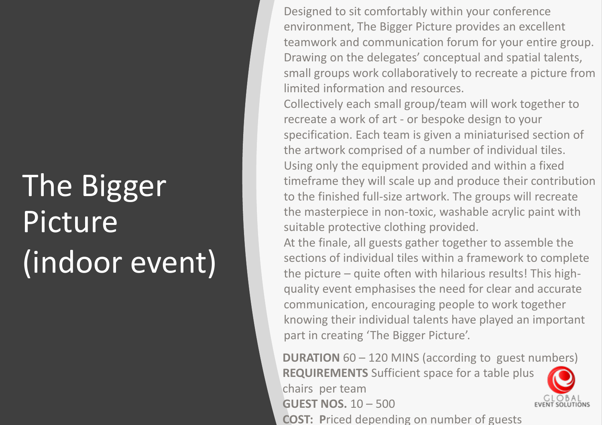# The Bigger **Picture** (indoor event)

Designed to sit comfortably within your conference environment, The Bigger Picture provides an excellent teamwork and communication forum for your entire group. Drawing on the delegates' conceptual and spatial talents, small groups work collaboratively to recreate a picture from limited information and resources.

Collectively each small group/team will work together to recreate a work of art - or bespoke design to your specification. Each team is given a miniaturised section of the artwork comprised of a number of individual tiles. Using only the equipment provided and within a fixed timeframe they will scale up and produce their contribution to the finished full-size artwork. The groups will recreate the masterpiece in non-toxic, washable acrylic paint with suitable protective clothing provided.

At the finale, all guests gather together to assemble the sections of individual tiles within a framework to complete the picture – quite often with hilarious results! This highquality event emphasises the need for clear and accurate communication, encouraging people to work together knowing their individual talents have played an important part in creating 'The Bigger Picture'.

**DURATION** 60 – 120 MINS (according to guest numbers) **REQUIREMENTS** Sufficient space for a table plus chairs per team **GUEST NOS.** 10 – 500



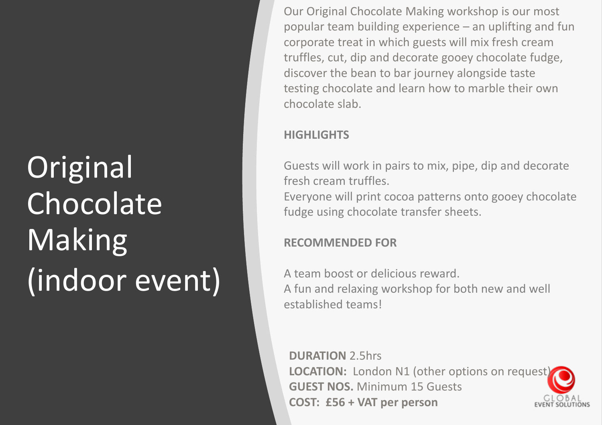# **Original** Chocolate Making (indoor event)

Our Original Chocolate Making workshop is our most popular team building experience – an uplifting and fun corporate treat in which guests will mix fresh cream truffles, cut, dip and decorate gooey chocolate fudge, discover the bean to bar journey alongside taste testing chocolate and learn how to marble their own chocolate slab.

#### **HIGHLIGHTS**

Guests will work in pairs to mix, pipe, dip and decorate fresh cream truffles. Everyone will print cocoa patterns onto gooey chocolate fudge using chocolate transfer sheets.

#### **RECOMMENDED FOR**

A team boost or delicious reward. A fun and relaxing workshop for both new and well established teams!

**DURATION** 2.5hrs **LOCATION:** London N1 (other options on request) **GUEST NOS.** Minimum 15 Guests **COST: £56 + VAT per person**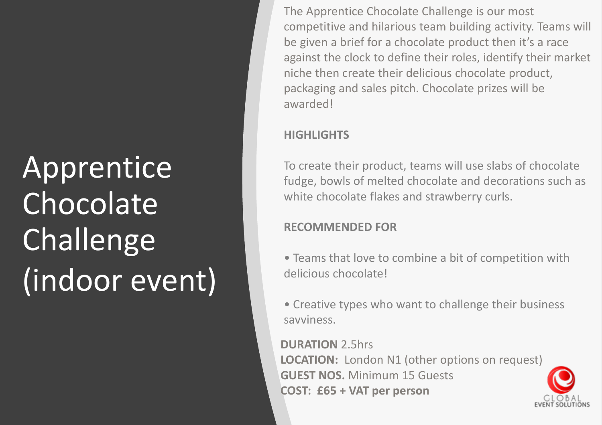# **Apprentice Chocolate** Challenge (indoor event)

The Apprentice Chocolate Challenge is our most competitive and hilarious team building activity. Teams will be given a brief for a chocolate product then it's a race against the clock to define their roles, identify their market niche then create their delicious chocolate product, packaging and sales pitch. Chocolate prizes will be awarded!

#### **HIGHLIGHTS**

To create their product, teams will use slabs of chocolate fudge, bowls of melted chocolate and decorations such as white chocolate flakes and strawberry curls.

#### **RECOMMENDED FOR**

- Teams that love to combine a bit of competition with delicious chocolate!
- Creative types who want to challenge their business savviness.

**DURATION** 2.5hrs **LOCATION:** London N1 (other options on request) **GUEST NOS.** Minimum 15 Guests **COST: £65 + VAT per person**

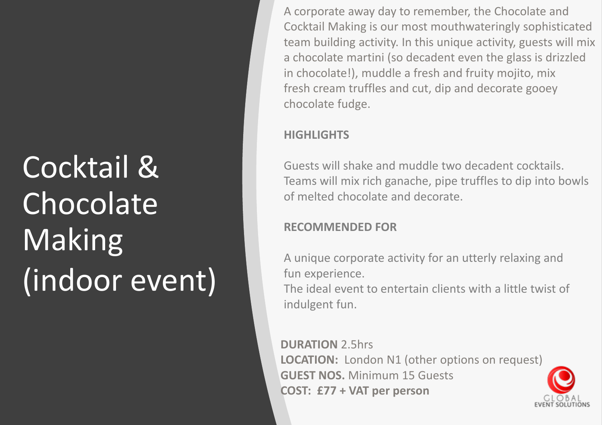# Cocktail & Chocolate Making (indoor event)

A corporate away day to remember, the Chocolate and Cocktail Making is our most mouthwateringly sophisticated team building activity. In this unique activity, guests will mix a chocolate martini (so decadent even the glass is drizzled in chocolate!), muddle a fresh and fruity mojito, mix fresh cream truffles and cut, dip and decorate gooey chocolate fudge.

#### **HIGHLIGHTS**

Guests will shake and muddle two decadent cocktails. Teams will mix rich ganache, pipe truffles to dip into bowls of melted chocolate and decorate.

#### **RECOMMENDED FOR**

A unique corporate activity for an utterly relaxing and fun experience.

The ideal event to entertain clients with a little twist of indulgent fun.

**DURATION** 2.5hrs **LOCATION:** London N1 (other options on request) **GUEST NOS.** Minimum 15 Guests **COST: £77 + VAT per person**

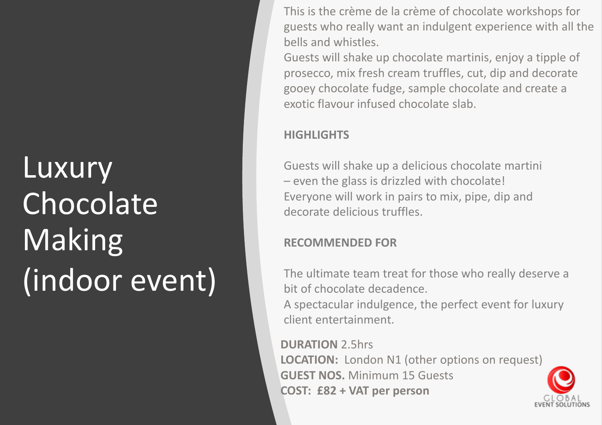### **Luxury** Chocolate Making (indoor event)

This is the crème de la crème of chocolate workshops for guests who really want an indulgent experience with all the bells and whistles.

Guests will shake up chocolate martinis, enjoy a tipple of prosecco, mix fresh cream truffles, cut, dip and decorate gooey chocolate fudge, sample chocolate and create a exotic flavour infused chocolate slab.

#### **HIGHLIGHTS**

Guests will shake up a delicious chocolate martini – even the glass is drizzled with chocolate! Everyone will work in pairs to mix, pipe, dip and decorate delicious truffles.

#### **RECOMMENDED FOR**

The ultimate team treat for those who really deserve a bit of chocolate decadence.

A spectacular indulgence, the perfect event for luxury client entertainment.

**DURATION** 2.5hrs **LOCATION:** London N1 (other options on request) **GUEST NOS.** Minimum 15 Guests **COST: £82 + VAT per person**

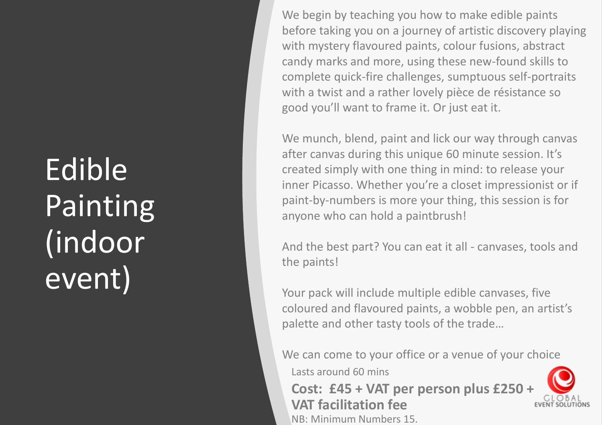### Edible Painting (indoor event)

We begin by teaching you how to make edible paints before taking you on a journey of artistic discovery playing with mystery flavoured paints, colour fusions, abstract candy marks and more, using these new-found skills to complete quick-fire challenges, sumptuous self-portraits with a twist and a rather lovely pièce de résistance so good you'll want to frame it. Or just eat it.

We munch, blend, paint and lick our way through canvas after canvas during this unique 60 minute session. It's created simply with one thing in mind: to release your inner Picasso. Whether you're a closet impressionist or if paint-by-numbers is more your thing, this session is for anyone who can hold a paintbrush!

And the best part? You can eat it all - canvases, tools and the paints!

Your pack will include multiple edible canvases, five coloured and flavoured paints, a wobble pen, an artist's palette and other tasty tools of the trade…

We can come to your office or a venue of your choice

Lasts around 60 mins

**Cost: £45 + VAT per person plus £250 + VAT facilitation fee** NB: Minimum Numbers 15.

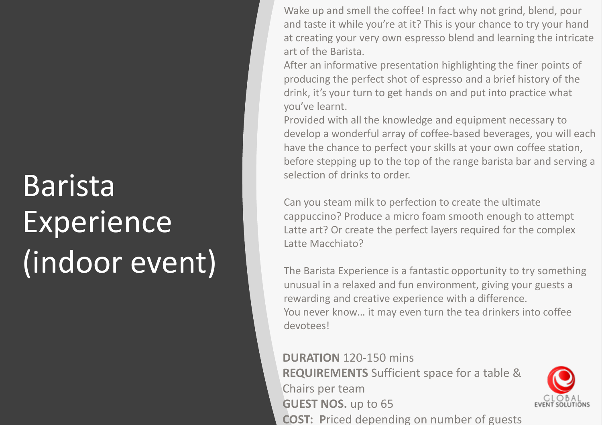# Barista Experience (indoor event)

Wake up and smell the coffee! In fact why not grind, blend, pour and taste it while you're at it? This is your chance to try your hand at creating your very own espresso blend and learning the intricate art of the Barista.

After an informative presentation highlighting the finer points of producing the perfect shot of espresso and a brief history of the drink, it's your turn to get hands on and put into practice what you've learnt.

Provided with all the knowledge and equipment necessary to develop a wonderful array of coffee-based beverages, you will each have the chance to perfect your skills at your own coffee station, before stepping up to the top of the range barista bar and serving a selection of drinks to order.

Can you steam milk to perfection to create the ultimate cappuccino? Produce a micro foam smooth enough to attempt Latte art? Or create the perfect layers required for the complex Latte Macchiato?

The Barista Experience is a fantastic opportunity to try something unusual in a relaxed and fun environment, giving your guests a rewarding and creative experience with a difference. You never know… it may even turn the tea drinkers into coffee devotees!

**DURATION** 120-150 mins **REQUIREMENTS** Sufficient space for a table & Chairs per team **GUEST NOS.** up to 65 **COST: P**riced depending on number of guests

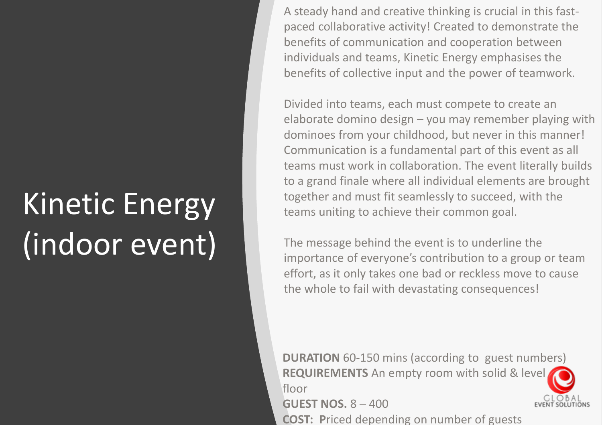# Kinetic Energy (indoor event)

A steady hand and creative thinking is crucial in this fastpaced collaborative activity! Created to demonstrate the benefits of communication and cooperation between individuals and teams, Kinetic Energy emphasises the benefits of collective input and the power of teamwork.

Divided into teams, each must compete to create an elaborate domino design – you may remember playing with dominoes from your childhood, but never in this manner! Communication is a fundamental part of this event as all teams must work in collaboration. The event literally builds to a grand finale where all individual elements are brought together and must fit seamlessly to succeed, with the teams uniting to achieve their common goal.

The message behind the event is to underline the importance of everyone's contribution to a group or team effort, as it only takes one bad or reckless move to cause the whole to fail with devastating consequences!

**DURATION** 60-150 mins (according to guest numbers) **REQUIREMENTS** An empty room with solid & level floor

**GUEST NOS.** 8 – 400

**COST: P**riced depending on number of guests

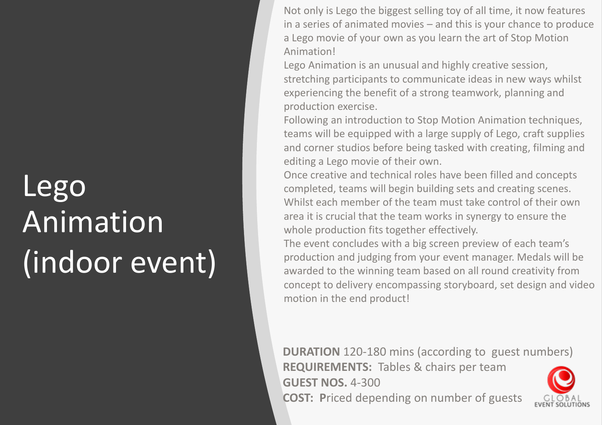### Lego Animation (indoor event)

Not only is Lego the biggest selling toy of all time, it now features in a series of animated movies – and this is your chance to produce a Lego movie of your own as you learn the art of Stop Motion Animation!

Lego Animation is an unusual and highly creative session, stretching participants to communicate ideas in new ways whilst experiencing the benefit of a strong teamwork, planning and production exercise.

Following an introduction to Stop Motion Animation techniques, teams will be equipped with a large supply of Lego, craft supplies and corner studios before being tasked with creating, filming and editing a Lego movie of their own.

Once creative and technical roles have been filled and concepts completed, teams will begin building sets and creating scenes. Whilst each member of the team must take control of their own area it is crucial that the team works in synergy to ensure the whole production fits together effectively.

The event concludes with a big screen preview of each team's production and judging from your event manager. Medals will be awarded to the winning team based on all round creativity from concept to delivery encompassing storyboard, set design and video motion in the end product!

**DURATION** 120-180 mins (according to guest numbers) **REQUIREMENTS:** Tables & chairs per team **GUEST NOS.** 4-300 **COST: P**riced depending on number of guests

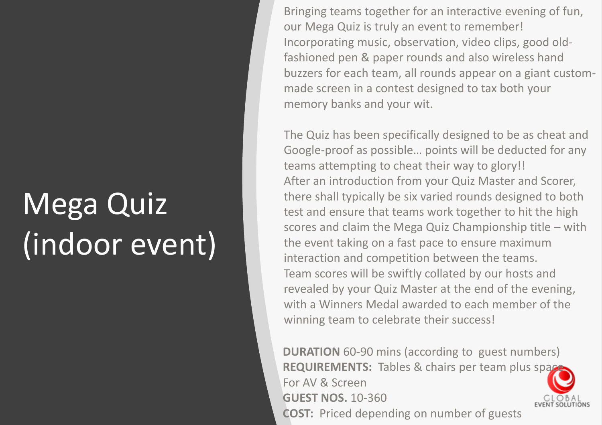# Mega Quiz (indoor event)

Bringing teams together for an interactive evening of fun, our Mega Quiz is truly an event to remember! Incorporating music, observation, video clips, good oldfashioned pen & paper rounds and also wireless hand buzzers for each team, all rounds appear on a giant custommade screen in a contest designed to tax both your memory banks and your wit.

The Quiz has been specifically designed to be as cheat and Google-proof as possible… points will be deducted for any teams attempting to cheat their way to glory!! After an introduction from your Quiz Master and Scorer, there shall typically be six varied rounds designed to both test and ensure that teams work together to hit the high scores and claim the Mega Quiz Championship title – with the event taking on a fast pace to ensure maximum interaction and competition between the teams. Team scores will be swiftly collated by our hosts and revealed by your Quiz Master at the end of the evening, with a Winners Medal awarded to each member of the winning team to celebrate their success!

**DURATION** 60-90 mins (according to guest numbers) **REQUIREMENTS:** Tables & chairs per team plus space For AV & Screen **GUEST NOS.** 10-360 **COST:** Priced depending on number of guests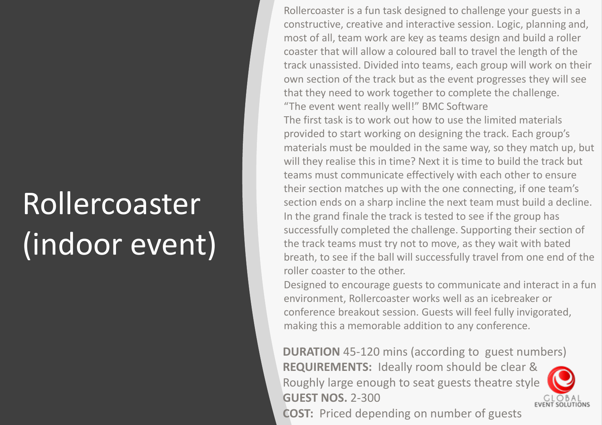# Rollercoaster (indoor event)

Rollercoaster is a fun task designed to challenge your guests in a constructive, creative and interactive session. Logic, planning and, most of all, team work are key as teams design and build a roller coaster that will allow a coloured ball to travel the length of the track unassisted. Divided into teams, each group will work on their own section of the track but as the event progresses they will see that they need to work together to complete the challenge. "The event went really well!" BMC Software

The first task is to work out how to use the limited materials provided to start working on designing the track. Each group's materials must be moulded in the same way, so they match up, but will they realise this in time? Next it is time to build the track but teams must communicate effectively with each other to ensure their section matches up with the one connecting, if one team's section ends on a sharp incline the next team must build a decline. In the grand finale the track is tested to see if the group has successfully completed the challenge. Supporting their section of the track teams must try not to move, as they wait with bated breath, to see if the ball will successfully travel from one end of the roller coaster to the other.

Designed to encourage guests to communicate and interact in a fun environment, Rollercoaster works well as an icebreaker or conference breakout session. Guests will feel fully invigorated, making this a memorable addition to any conference.

**DURATION** 45-120 mins (according to guest numbers) **REQUIREMENTS:** Ideally room should be clear & Roughly large enough to seat guests theatre style **GUEST NOS.** 2-300 **EVENT SOLUTIONS COST:** Priced depending on number of guests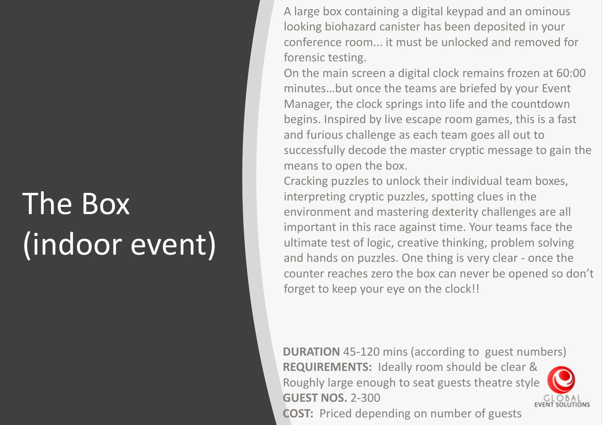# The Box (indoor event)

A large box containing a digital keypad and an ominous looking biohazard canister has been deposited in your conference room... it must be unlocked and removed for forensic testing.

On the main screen a digital clock remains frozen at 60:00 minutes…but once the teams are briefed by your Event Manager, the clock springs into life and the countdown begins. Inspired by live escape room games, this is a fast and furious challenge as each team goes all out to successfully decode the master cryptic message to gain the means to open the box.

Cracking puzzles to unlock their individual team boxes, interpreting cryptic puzzles, spotting clues in the environment and mastering dexterity challenges are all important in this race against time. Your teams face the ultimate test of logic, creative thinking, problem solving and hands on puzzles. One thing is very clear - once the counter reaches zero the box can never be opened so don't forget to keep your eye on the clock!!

**DURATION** 45-120 mins (according to guest numbers) **REQUIREMENTS:** Ideally room should be clear & Roughly large enough to seat guests theatre style **GUEST NOS.** 2-300 **EVENT SOLUTIONS COST:** Priced depending on number of guests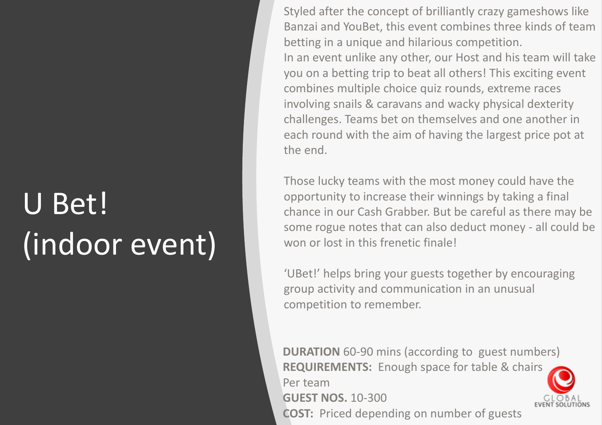# U Bet! (indoor event)

Styled after the concept of brilliantly crazy gameshows like Banzai and YouBet, this event combines three kinds of team betting in a unique and hilarious competition. In an event unlike any other, our Host and his team will take you on a betting trip to beat all others! This exciting event combines multiple choice quiz rounds, extreme races involving snails & caravans and wacky physical dexterity challenges. Teams bet on themselves and one another in each round with the aim of having the largest price pot at the end.

Those lucky teams with the most money could have the opportunity to increase their winnings by taking a final chance in our Cash Grabber. But be careful as there may be some rogue notes that can also deduct money - all could be won or lost in this frenetic finale!

'UBet!' helps bring your guests together by encouraging group activity and communication in an unusual competition to remember.

**DURATION** 60-90 mins (according to guest numbers) **REQUIREMENTS:** Enough space for table & chairs Per team **GUEST NOS.** 10-300 **COST:** Priced depending on number of guests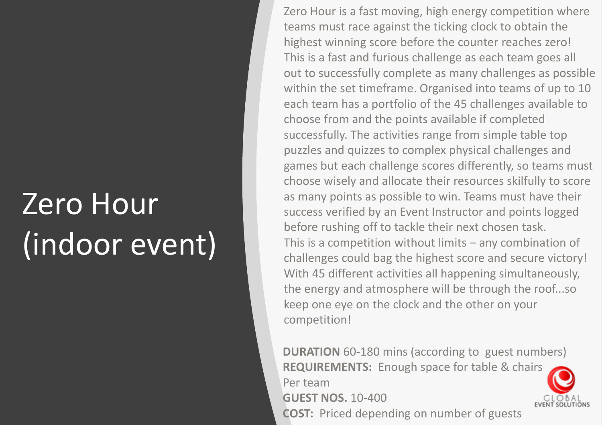### Zero Hour (indoor event)

Zero Hour is a fast moving, high energy competition where teams must race against the ticking clock to obtain the highest winning score before the counter reaches zero! This is a fast and furious challenge as each team goes all out to successfully complete as many challenges as possible within the set timeframe. Organised into teams of up to 10 each team has a portfolio of the 45 challenges available to choose from and the points available if completed successfully. The activities range from simple table top puzzles and quizzes to complex physical challenges and games but each challenge scores differently, so teams must choose wisely and allocate their resources skilfully to score as many points as possible to win. Teams must have their success verified by an Event Instructor and points logged before rushing off to tackle their next chosen task. This is a competition without limits – any combination of challenges could bag the highest score and secure victory! With 45 different activities all happening simultaneously, the energy and atmosphere will be through the roof...so keep one eye on the clock and the other on your competition!

**DURATION** 60-180 mins (according to guest numbers) **REQUIREMENTS:** Enough space for table & chairs Per team **GUEST NOS.** 10-400 **COST:** Priced depending on number of guests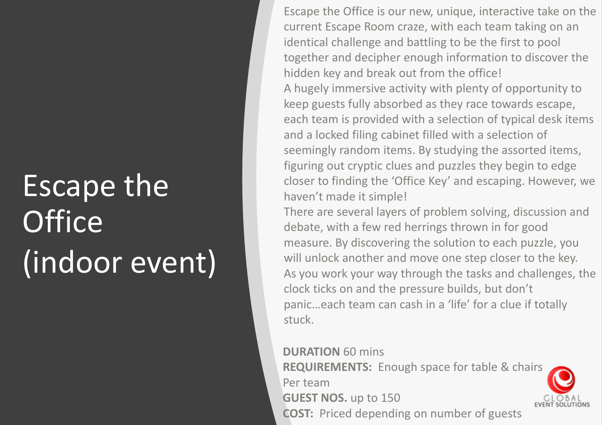# Escape the **Office** (indoor event)

Escape the Office is our new, unique, interactive take on the current Escape Room craze, with each team taking on an identical challenge and battling to be the first to pool together and decipher enough information to discover the hidden key and break out from the office! A hugely immersive activity with plenty of opportunity to keep guests fully absorbed as they race towards escape, each team is provided with a selection of typical desk items and a locked filing cabinet filled with a selection of seemingly random items. By studying the assorted items, figuring out cryptic clues and puzzles they begin to edge closer to finding the 'Office Key' and escaping. However, we haven't made it simple!

There are several layers of problem solving, discussion and debate, with a few red herrings thrown in for good measure. By discovering the solution to each puzzle, you will unlock another and move one step closer to the key. As you work your way through the tasks and challenges, the clock ticks on and the pressure builds, but don't panic…each team can cash in a 'life' for a clue if totally stuck.

#### **DURATION** 60 mins **REQUIREMENTS:** Enough space for table & chairs Per team **GUEST NOS.** up to 150 **COST:** Priced depending on number of guests

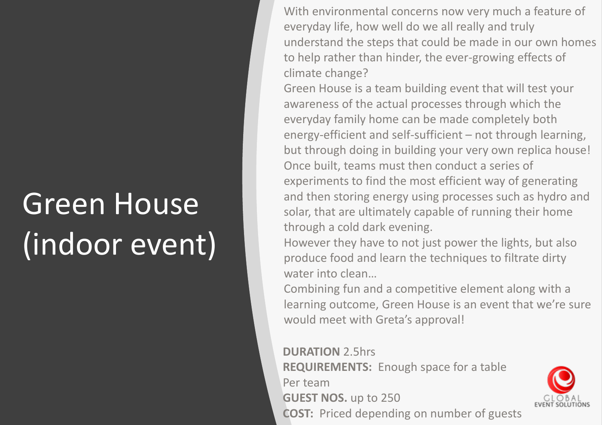### Green House (indoor event)

With environmental concerns now very much a feature of everyday life, how well do we all really and truly understand the steps that could be made in our own homes to help rather than hinder, the ever-growing effects of climate change?

Green House is a team building event that will test your awareness of the actual processes through which the everyday family home can be made completely both energy-efficient and self-sufficient – not through learning, but through doing in building your very own replica house! Once built, teams must then conduct a series of experiments to find the most efficient way of generating and then storing energy using processes such as hydro and solar, that are ultimately capable of running their home through a cold dark evening.

However they have to not just power the lights, but also produce food and learn the techniques to filtrate dirty water into clean...

Combining fun and a competitive element along with a learning outcome, Green House is an event that we're sure would meet with Greta's approval!

**DURATION** 2.5hrs

**REQUIREMENTS:** Enough space for a table Per team **GUEST NOS.** up to 250 **COST:** Priced depending on number of guests

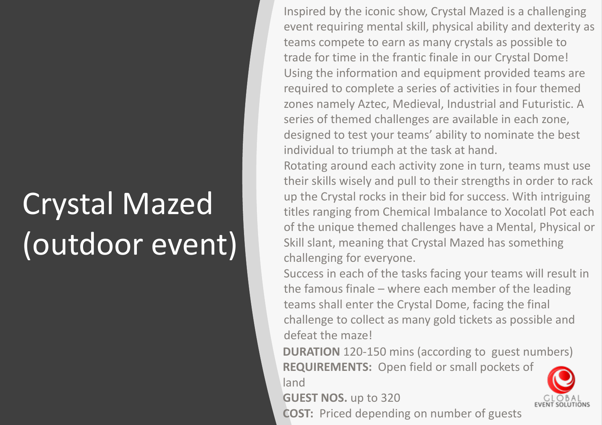# Crystal Mazed (outdoor event)

Inspired by the iconic show, Crystal Mazed is a challenging event requiring mental skill, physical ability and dexterity as teams compete to earn as many crystals as possible to trade for time in the frantic finale in our Crystal Dome! Using the information and equipment provided teams are required to complete a series of activities in four themed zones namely Aztec, Medieval, Industrial and Futuristic. A series of themed challenges are available in each zone, designed to test your teams' ability to nominate the best individual to triumph at the task at hand.

Rotating around each activity zone in turn, teams must use their skills wisely and pull to their strengths in order to rack up the Crystal rocks in their bid for success. With intriguing titles ranging from Chemical Imbalance to Xocolatl Pot each of the unique themed challenges have a Mental, Physical or Skill slant, meaning that Crystal Mazed has something challenging for everyone.

Success in each of the tasks facing your teams will result in the famous finale – where each member of the leading teams shall enter the Crystal Dome, facing the final challenge to collect as many gold tickets as possible and defeat the maze!

**DURATION** 120-150 mins (according to guest numbers) **REQUIREMENTS:** Open field or small pockets of land

**GUEST NOS.** up to 320

**COST:** Priced depending on number of guests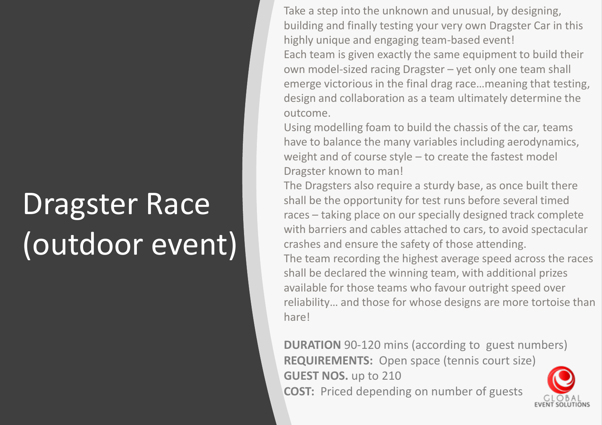### Dragster Race (outdoor event)

Take a step into the unknown and unusual, by designing, building and finally testing your very own Dragster Car in this highly unique and engaging team-based event! Each team is given exactly the same equipment to build their own model-sized racing Dragster – yet only one team shall emerge victorious in the final drag race…meaning that testing, design and collaboration as a team ultimately determine the outcome.

Using modelling foam to build the chassis of the car, teams have to balance the many variables including aerodynamics, weight and of course style – to create the fastest model Dragster known to man!

The Dragsters also require a sturdy base, as once built there shall be the opportunity for test runs before several timed races – taking place on our specially designed track complete with barriers and cables attached to cars, to avoid spectacular crashes and ensure the safety of those attending. The team recording the highest average speed across the races shall be declared the winning team, with additional prizes available for those teams who favour outright speed over reliability… and those for whose designs are more tortoise than hare!

**DURATION** 90-120 mins (according to guest numbers) **REQUIREMENTS:** Open space (tennis court size) **GUEST NOS.** up to 210 **COST:** Priced depending on number of guests

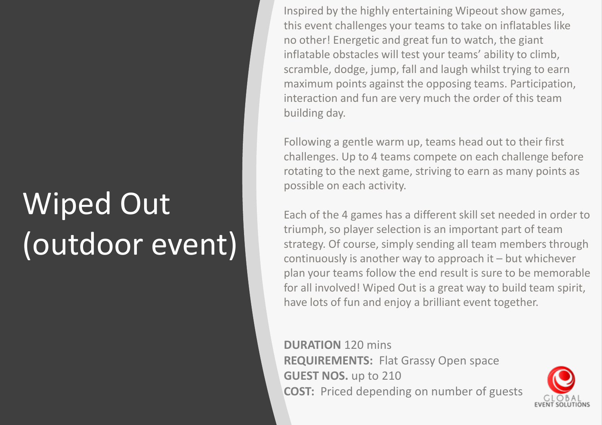# Wiped Out (outdoor event)

Inspired by the highly entertaining Wipeout show games, this event challenges your teams to take on inflatables like no other! Energetic and great fun to watch, the giant inflatable obstacles will test your teams' ability to climb, scramble, dodge, jump, fall and laugh whilst trying to earn maximum points against the opposing teams. Participation, interaction and fun are very much the order of this team building day.

Following a gentle warm up, teams head out to their first challenges. Up to 4 teams compete on each challenge before rotating to the next game, striving to earn as many points as possible on each activity.

Each of the 4 games has a different skill set needed in order to triumph, so player selection is an important part of team strategy. Of course, simply sending all team members through continuously is another way to approach it – but whichever plan your teams follow the end result is sure to be memorable for all involved! Wiped Out is a great way to build team spirit, have lots of fun and enjoy a brilliant event together.

**DURATION** 120 mins **REQUIREMENTS:** Flat Grassy Open space **GUEST NOS.** up to 210 **COST:** Priced depending on number of guests

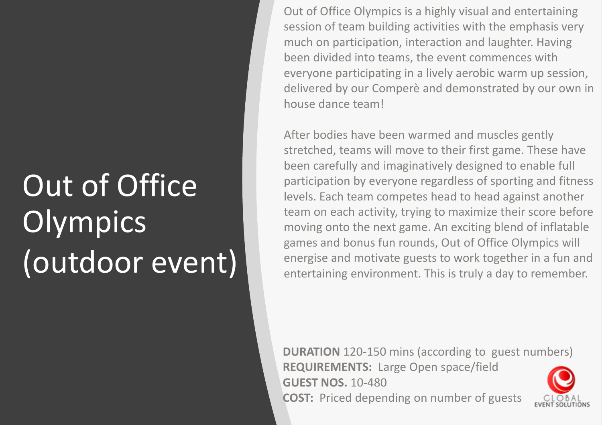# Out of Office **Olympics** (outdoor event)

Out of Office Olympics is a highly visual and entertaining session of team building activities with the emphasis very much on participation, interaction and laughter. Having been divided into teams, the event commences with everyone participating in a lively aerobic warm up session, delivered by our Comperè and demonstrated by our own in house dance team!

After bodies have been warmed and muscles gently stretched, teams will move to their first game. These have been carefully and imaginatively designed to enable full participation by everyone regardless of sporting and fitness levels. Each team competes head to head against another team on each activity, trying to maximize their score before moving onto the next game. An exciting blend of inflatable games and bonus fun rounds, Out of Office Olympics will energise and motivate guests to work together in a fun and entertaining environment. This is truly a day to remember.

**DURATION** 120-150 mins (according to guest numbers) **REQUIREMENTS:** Large Open space/field **GUEST NOS.** 10-480 **COST:** Priced depending on number of guests

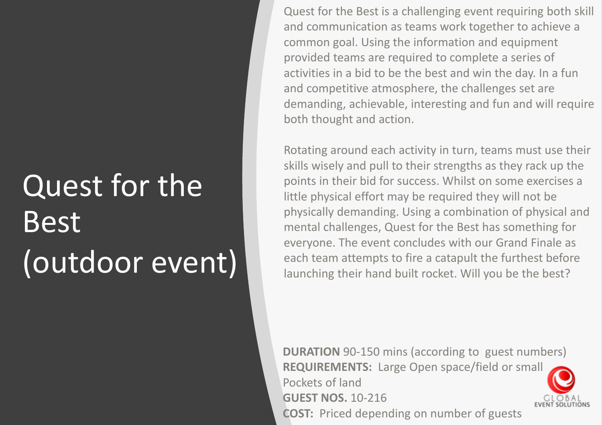# Quest for the Best (outdoor event)

Quest for the Best is a challenging event requiring both skill and communication as teams work together to achieve a common goal. Using the information and equipment provided teams are required to complete a series of activities in a bid to be the best and win the day. In a fun and competitive atmosphere, the challenges set are demanding, achievable, interesting and fun and will require both thought and action.

Rotating around each activity in turn, teams must use their skills wisely and pull to their strengths as they rack up the points in their bid for success. Whilst on some exercises a little physical effort may be required they will not be physically demanding. Using a combination of physical and mental challenges, Quest for the Best has something for everyone. The event concludes with our Grand Finale as each team attempts to fire a catapult the furthest before launching their hand built rocket. Will you be the best?

**DURATION** 90-150 mins (according to guest numbers) **REQUIREMENTS:** Large Open space/field or small Pockets of land **GUEST NOS.** 10-216 **COST:** Priced depending on number of guests

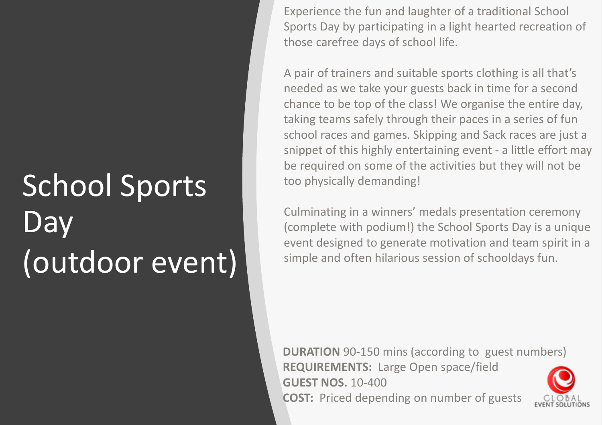# School Sports **Day** (outdoor event)

Experience the fun and laughter of a traditional School Sports Day by participating in a light hearted recreation of those carefree days of school life.

A pair of trainers and suitable sports clothing is all that's needed as we take your guests back in time for a second chance to be top of the class! We organise the entire day, taking teams safely through their paces in a series of fun school races and games. Skipping and Sack races are just a snippet of this highly entertaining event - a little effort may be required on some of the activities but they will not be too physically demanding!

Culminating in a winners' medals presentation ceremony (complete with podium!) the School Sports Day is a unique event designed to generate motivation and team spirit in a simple and often hilarious session of schooldays fun.

**DURATION** 90-150 mins (according to guest numbers) **REQUIREMENTS:** Large Open space/field **GUEST NOS.** 10-400 **COST:** Priced depending on number of guests

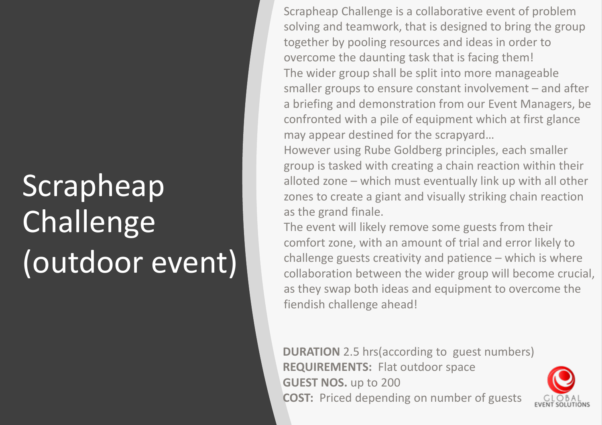# Scrapheap **Challenge** (outdoor event)

Scrapheap Challenge is a collaborative event of problem solving and teamwork, that is designed to bring the group together by pooling resources and ideas in order to overcome the daunting task that is facing them! The wider group shall be split into more manageable smaller groups to ensure constant involvement – and after a briefing and demonstration from our Event Managers, be confronted with a pile of equipment which at first glance may appear destined for the scrapyard…

However using Rube Goldberg principles, each smaller group is tasked with creating a chain reaction within their alloted zone – which must eventually link up with all other zones to create a giant and visually striking chain reaction as the grand finale.

The event will likely remove some guests from their comfort zone, with an amount of trial and error likely to challenge guests creativity and patience – which is where collaboration between the wider group will become crucial, as they swap both ideas and equipment to overcome the fiendish challenge ahead!

**DURATION** 2.5 hrs(according to guest numbers) **REQUIREMENTS:** Flat outdoor space **GUEST NOS.** up to 200 **COST:** Priced depending on number of guests

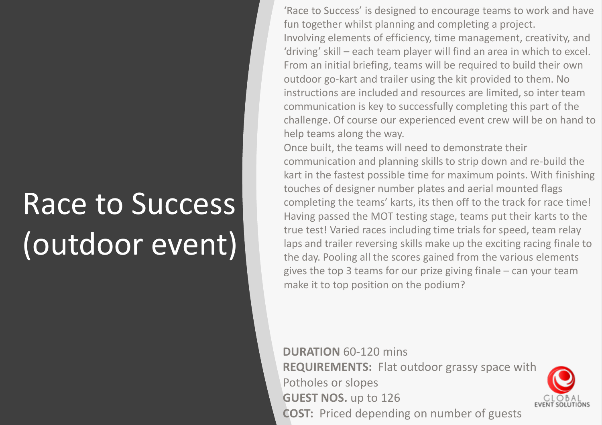# Race to Success (outdoor event)

'Race to Success' is designed to encourage teams to work and have fun together whilst planning and completing a project. Involving elements of efficiency, time management, creativity, and 'driving' skill – each team player will find an area in which to excel. From an initial briefing, teams will be required to build their own outdoor go-kart and trailer using the kit provided to them. No instructions are included and resources are limited, so inter team communication is key to successfully completing this part of the challenge. Of course our experienced event crew will be on hand to help teams along the way.

Once built, the teams will need to demonstrate their communication and planning skills to strip down and re-build the kart in the fastest possible time for maximum points. With finishing touches of designer number plates and aerial mounted flags completing the teams' karts, its then off to the track for race time! Having passed the MOT testing stage, teams put their karts to the true test! Varied races including time trials for speed, team relay laps and trailer reversing skills make up the exciting racing finale to the day. Pooling all the scores gained from the various elements gives the top 3 teams for our prize giving finale – can your team make it to top position on the podium?

**DURATION** 60-120 mins **REQUIREMENTS:** Flat outdoor grassy space with Potholes or slopes **GUEST NOS.** up to 126 **COST:** Priced depending on number of guests

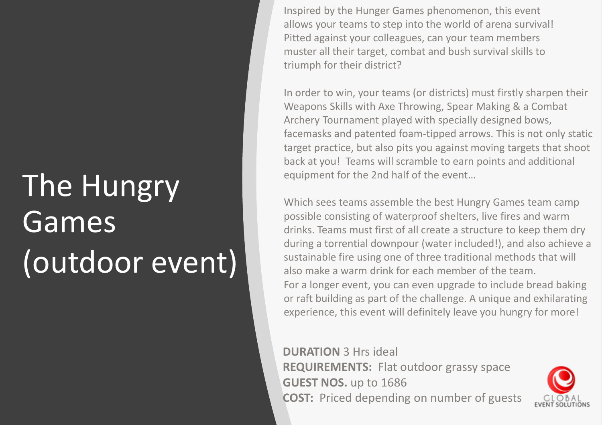# The Hungry Games (outdoor event)

Inspired by the Hunger Games phenomenon, this event allows your teams to step into the world of arena survival! Pitted against your colleagues, can your team members muster all their target, combat and bush survival skills to triumph for their district?

In order to win, your teams (or districts) must firstly sharpen their Weapons Skills with Axe Throwing, Spear Making & a Combat Archery Tournament played with specially designed bows, facemasks and patented foam-tipped arrows. This is not only static target practice, but also pits you against moving targets that shoot back at you! Teams will scramble to earn points and additional equipment for the 2nd half of the event…

Which sees teams assemble the best Hungry Games team camp possible consisting of waterproof shelters, live fires and warm drinks. Teams must first of all create a structure to keep them dry during a torrential downpour (water included!), and also achieve a sustainable fire using one of three traditional methods that will also make a warm drink for each member of the team. For a longer event, you can even upgrade to include bread baking or raft building as part of the challenge. A unique and exhilarating experience, this event will definitely leave you hungry for more!

**DURATION** 3 Hrs ideal **REQUIREMENTS:** Flat outdoor grassy space **GUEST NOS.** up to 1686 **COST:** Priced depending on number of guests

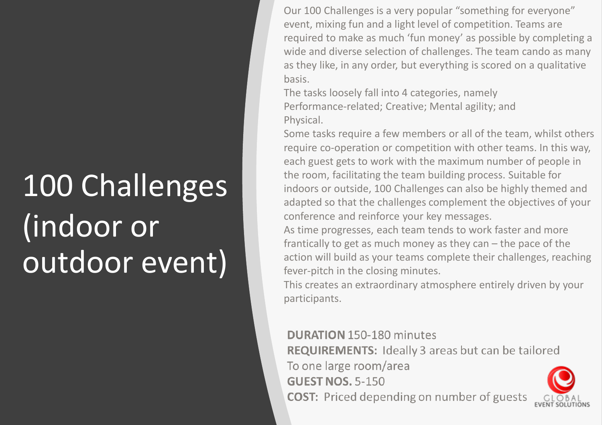# 100 Challenges (indoor or outdoor event)

Our 100 Challenges is a very popular "something for everyone" event, mixing fun and a light level of competition. Teams are required to make as much 'fun money' as possible by completing a wide and diverse selection of challenges. The team cando as many as they like, in any order, but everything is scored on a qualitative basis.

The tasks loosely fall into 4 categories, namely Performance-related; Creative; Mental agility; and Physical.

Some tasks require a few members or all of the team, whilst others require co-operation or competition with other teams. In this way, each guest gets to work with the maximum number of people in the room, facilitating the team building process. Suitable for indoors or outside, 100 Challenges can also be highly themed and adapted so that the challenges complement the objectives of your conference and reinforce your key messages.

As time progresses, each team tends to work faster and more frantically to get as much money as they can – the pace of the action will build as your teams complete their challenges, reaching fever-pitch in the closing minutes.

This creates an extraordinary atmosphere entirely driven by your participants.

#### **DURATION 150-180 minutes**

**REQUIREMENTS:** Ideally 3 areas but can be tailored To one large room/area **GUEST NOS. 5-150 COST:** Priced depending on number of guests

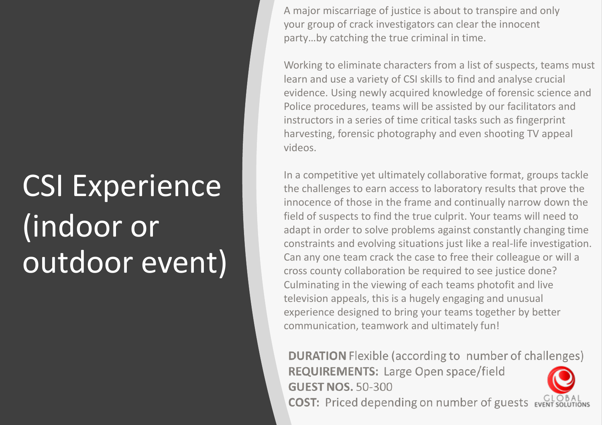# CSI Experience (indoor or outdoor event)

A major miscarriage of justice is about to transpire and only your group of crack investigators can clear the innocent party…by catching the true criminal in time.

Working to eliminate characters from a list of suspects, teams must learn and use a variety of CSI skills to find and analyse crucial evidence. Using newly acquired knowledge of forensic science and Police procedures, teams will be assisted by our facilitators and instructors in a series of time critical tasks such as fingerprint harvesting, forensic photography and even shooting TV appeal videos.

In a competitive yet ultimately collaborative format, groups tackle the challenges to earn access to laboratory results that prove the innocence of those in the frame and continually narrow down the field of suspects to find the true culprit. Your teams will need to adapt in order to solve problems against constantly changing time constraints and evolving situations just like a real-life investigation. Can any one team crack the case to free their colleague or will a cross county collaboration be required to see justice done? Culminating in the viewing of each teams photofit and live television appeals, this is a hugely engaging and unusual experience designed to bring your teams together by better communication, teamwork and ultimately fun!

**DURATION** Flexible (according to number of challenges) **REQUIREMENTS: Large Open space/field GUEST NOS. 50-300 COST:** Priced depending on number of guests